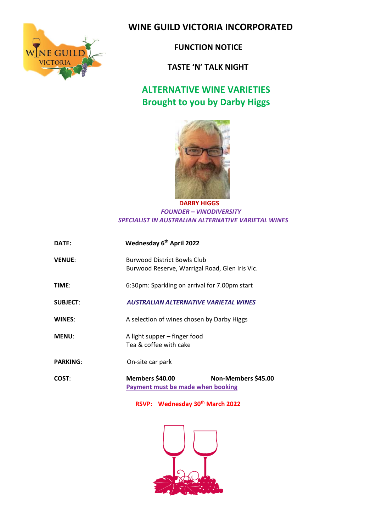

 **WINE GUILD VICTORIA INCORPORATED**

 **FUNCTION NOTICE**

 **TASTE 'N' TALK NIGHT**

# **ALTERNATIVE WINE VARIETIES Brought to you by Darby Higgs**



## **DARBY HIGGS**   *FOUNDER – VINODIVERSITY SPECIALIST IN AUSTRALIAN ALTERNATIVE VARIETAL WINES*

| DATE:           | Wednesday 6 <sup>th</sup> April 2022                                                 |                     |
|-----------------|--------------------------------------------------------------------------------------|---------------------|
| <b>VENUE:</b>   | <b>Burwood District Bowls Club</b><br>Burwood Reserve, Warrigal Road, Glen Iris Vic. |                     |
| <b>TIME:</b>    | 6:30pm: Sparkling on arrival for 7.00pm start                                        |                     |
| <b>SUBJECT:</b> | <b>AUSTRALIAN ALTERNATIVE VARIETAL WINES</b>                                         |                     |
| WINES:          | A selection of wines chosen by Darby Higgs                                           |                     |
| <b>MENU:</b>    | A light supper – finger food<br>Tea & coffee with cake                               |                     |
| <b>PARKING:</b> | On-site car park                                                                     |                     |
| COST:           | <b>Members \$40.00</b>                                                               | Non-Members \$45.00 |

**Payment must be made when booking**

## **RSVP: Wednesday 30th March 2022**